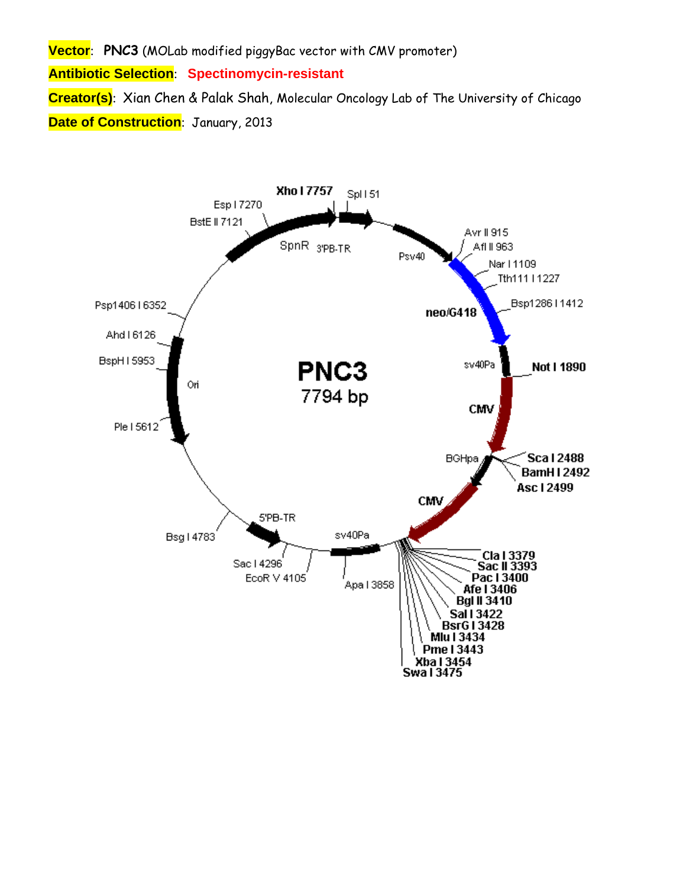**Vector**: **PNC3** (MOLab modified piggyBac vector with CMV promoter) **Antibiotic Selection**: **Spectinomycin-resistant Creator(s)**: Xian Chen & Palak Shah, Molecular Oncology Lab of The University of Chicago **Date of Construction**: January, 2013

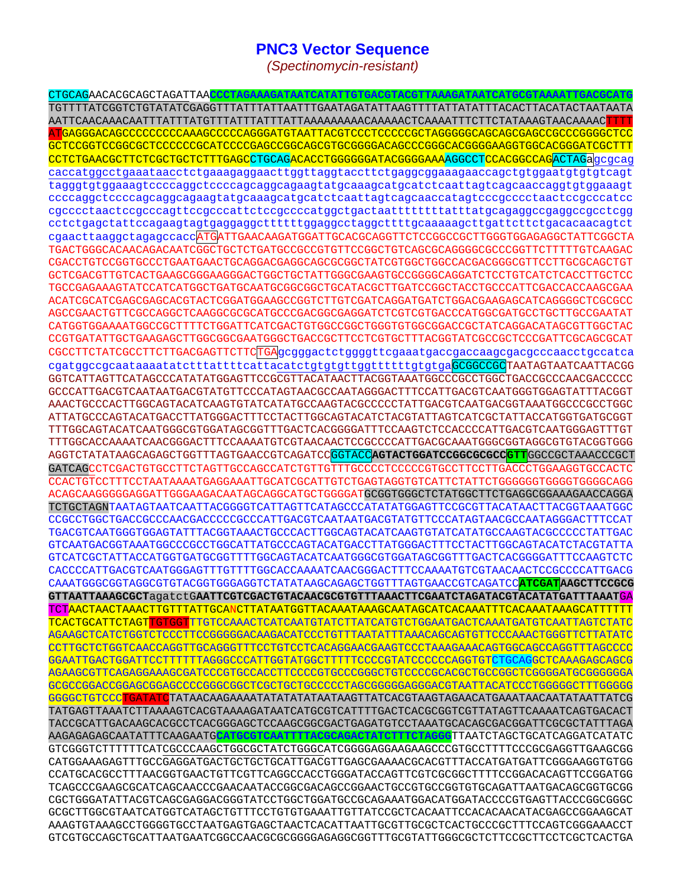## **PNC3 Vector Sequence**

*(Spectinomycin-resistant)* 

CTGCAGAACACGCAGCTAGATTAA**CCCTAGAAAGATAATCATATTGTGACGTACGTTAAAGATAATCATGCGTAAAATTGACGCATG** TGTTTTATCGGTCTGTATATCGAGGTTTATTTATTAATTTGAATAGATATTAAGTTTTATTATATTTACACTTACATACTAATAATA AATTCAACAAACAATTTATTTATGTTTATTTATTTATTAAAAAAAAACAAAAACTCAAAATTTCTTCTATAAAGTAACAAAACTTTT ATGAGGGACAGCCCCCCCCCAAAGCCCCCAGGGATGTAATTACGTCCCTCCCCCGCTAGGGGGCAGCAGCGAGCCGCCCGGGGCTCC GCTCCGGTCCGGCGCTCCCCCCGCATCCCCGAGCCGGCAGCGTGCGGGGACAGCCCGGGCACGGGGAAGGTGGCACGGGATCGCTTT CCTCTGAACGCTTCTCGCTGCTCTTTGAGCCTGCAGACACCTGGGGGGATACGGGGAAAAGGCCTCCACGGCCAGACTAGagcgcag caccatggcctgaaataacctctgaaagaggaacttggttaggtaccttctgaggcggaaagaaccagctgtggaatgtgtgtcagt tagggtgtggaaagtccccaggctccccagcaggcagaagtatgcaaagcatgcatctcaattagtcagcaaccaggtgtggaaagt ccccaggctccccagcaggcagaagtatgcaaagcatgcatctcaattagtcagcaaccatagtcccgcccctaactccgcccatcc cgcccctaactccgcccagttccgcccattctccgccccatggctgactaattttttttatttatgcagaggccgaggccgcctcgg cctctgagctattccagaagtagtgaggaggcttttttggaggcctaggcttttgcaaaaagcttgattcttctgacacaacagtct cgaacttaaggctagagccaccATGATTGAACAAGATGGATTGCACGCAGGTTCTCCGGCCGCTTGGGTGGAGAGGCTATTCGGCTA TGACTGGGCACAACAGACAATCGGCTGCTCTGATGCCGCCGTGTTCCGGCTGTCAGCGCAGGGGCGCCCGGTTCTTTTTGTCAAGAC CGACCTGTCCGGTGCCCTGAATGAACTGCAGGACGAGGCAGCGCGGCTATCGTGGCTGGCCACGACGGGCGTTCCTTGCGCAGCTGT GCTCGACGTTGTCACTGAAGCGGGAAGGGACTGGCTGCTATTGGGCGAAGTGCCGGGGCAGGATCTCCTGTCATCTCACCTTGCTCC TGCCGAGAAAGTATCCATCATGGCTGATGCAATGCGGCGGCTGCATACGCTTGATCCGGCTACCTGCCCATTCGACCACCAAGCGAA ACATCGCATCGAGCGAGCACGTACTCGGATGGAAGCCGGTCTTGTCGATCAGGATGATCTGGACGAAGAGCATCAGGGGCTCGCGCC AGCCGAACTGTTCGCCAGGCTCAAGGCGCGCATGCCCGACGGCGAGGATCTCGTCGTGACCCATGGCGATGCCTGCTTGCCGAATAT CATGGTGGAAAATGGCCGCTTTTCTGGATTCATCGACTGTGGCCGGCTGGGTGTGGCGGACCGCTATCAGGACATAGCGTTGGCTAC CCGTGATATTGCTGAAGAGCTTGGCGGCGAATGGGCTGACCGCTTCCTCGTGCTTTACGGTATCGCCGCTCCCGATTCGCAGCGCAT CGCCTTCTATCGCCTTCTTGACGAGTTCTTCTGAgcgggactctggggttcgaaatgaccgaccaagcgacgcccaacctgccatca cgatggccgcaataaaatatctttattttcattacatctgtgtgttggttttttgtgtgaGCGGCCGCTAATAGTAATCAATTACGG GGTCATTAGTTCATAGCCCATATATGGAGTTCCGCGTTACATAACTTACGGTAAATGGCCCGCCTGGCTGACCGCCCAACGACCCCC GCCCATTGACGTCAATAATGACGTATGTTCCCATAGTAACGCCAATAGGGACTTTTCCATTGACGTCAATGGGTGAGTATTTACGGT AAACTGCCCACTTGGCAGTACATCAAGTGTATCATATGCCAAGTACGCCCCCTATTGACGTCAATGACGGTAAATGGCCCGCCTGGC ATTATGCCCAGTACATGACCTTATGGGACTTTCCTACTTGGCAGTACATCTACGTATTAGTCATCGCTATTACCATGGTGATGCGGT TTTGGCAGTACATCAATGGGCGTGGATAGCGGTTTGACTCACGGGGATTTCCAAGTCTCCACCCCATTGACGTCAATGGGAGTTTGT TTTGGCACCAAAATCAACGGGACTTTCCAAAATGTCGTAACAACTCCGCCCCATTGACGCAAATGGGCGGTAGGCGTGTACGGTGGG AGGTCTATATAAGCAGAGCTGGTTTAGTGAACCGTCAGATCCGGTACC**AGTACTGGATCCGGCGCGCCGTT**GGCCGCTAAACCCGCT GATCAGCCTCGACTGTGCCTTCTAGTTGCCAGCCATCTGTTGTTTGCCCCTCCCCCGTGCCTTCCTTGACCCTGGAAGGTGCCACTC CCACTGTCCTTTCCTAATAAAATGAGGAAATTGCATCGCATTGTCTGAGTAGGTGTCATTCTATTCTGGGGGGTGGGGTGGGGCAGG ACAGCAAGGGGGAGGATTGGGAAGACAATAGCAGGCATGCTGGGGATGCGGTGGGCTCTATGGCTTCTGAGGCGGAAAGAACCAGGA TCTGCTAGNTAATAGTAATCAATTACGGGGTCATTAGTTCATAGCCCATATATGGAGTTCCGCGTTACATAACTTACGGTAAATGGC CCGCCTGGCTGACCGCCCAACGACCCCCGCCCATTGACGTCAATAATGACGTATGTTCCCATAGTAACGCCAATAGGGACTTTCCAT TGACGTCAATGGGTGGAGTATTTACGGTAAACTGCCCACTTGGCAGTACATCAAGTGTATCATATGCCAAGTACGCCCCCTATTGAC GTCAATGACGGTAAATGGCCCGCCTGGCATTATGCCCAGTACATGACCTTATGGGACTTTCCTACTTGGCAGTACATCTACGTATTA GTCATCGCTATTACCATGGTGATGCGGTTTTGGCAGTACATCAATGGGCGTGGATAGCGGTTTGACTCACGGGGATTTCCAAGTCTC CACCCCATTGACGTCAATGGGAGTTTGTTTTGGCACCAAAATCAACGGGACTTTCCAAAATGTCGTAACAACTCCGCCCCATTGACG CAAATGGGCGGTAGGCGTGTACGGTGGGAGGTCTATATAAGCAGAGCTGGTTTAGTGAACCGTCAGATCC**ATCGATAAGCTTCCGCG GTTAATTAAAGCGCT**agatctG**AATTCGTCGACTGTACAACGCGTGTTTAAACTTCGAATCTAGATACGTACATATGATTTAAAT**GA TCTAACTAACTAAACTTGTTTATTGCANCTTATAATGGTTACAAATAAAGCAATAGCATCACAAATTTCACAAATAAAGCATTTTTT TCACTGCATTCTAGTTGTGGTTTGTCCAAACTCATCAATGTATCTTATCATGTCTGGAATGACTCAAATGATGTCAATTAGTCTATC AGAAGCTCATCTGGTCTCCCTTCCGGGGGACAAGACATCCCTGTTTAATATTTAAACAGCAGTGTTCCCAAACTGGGTTCTTATATC CCTTGCTCTGGTCAACCAGGTTGCAGGGTTTCCTGTCCTCACAGGAACGAAGTCCCTAAAGAAACAGTGGCAGCCAGGTTTAGCCCC GGAATTGACTGGATTCCTTTTTTAGGGCCCATTGGTATGGCTTTTTCCCCGTATCCCCCCAGGTGTCTGCAGGCTCAAAGAGCAGCG AGAAGCGTTCAGAGGAAAGCGATCCCGTGCCACCTTCCCCGTGCCCGGGCTGTCCCCGCACGCTGCCGGCTCGGGGATGCGGGGGGA GCGCCGGACCGGAGCGGAGCCCCGGGCGGCTCGCTGCTGCCCCCTAGCGGGGGAGGGACGTAATTACATCCCTGGGGGCTTTGGGGG GGGGCTGTCCCTGATATQTATAACAAGAAAATATATATATAATAAGTTATCACGTAAGTAGAACATGAAATAACAATATAATTATCG TATGAGTTAAATCTTAAAAGTCACGTAAAAGATAATCATGCGTCATTTTGACTCACGCGGTCGTTATAGTTCAAAATCAGTGACACT TACCGCATTGACAAGCACGCCTCACGGGAGCTCCAAGCGGCGACTGAGATGTCCTAAATGCACAGCGACGGATTCGCGCTATTTAGA AAGAGAGAGCAATATTTCAAGAATG**CATGCGTCAATTTTACGCAGACTATCTTTCTAGGG**TTAATCTAGCTGCATCAGGATCATATC GTCGGGTCTTTTTTCATCGCCCAAGCTGGCGCTATCTGGGCATCGGGGAGGAAGAAGCCCGTGCCTTTTCCCGCGAGGTTGAAGCGG CATGGAAAGAGTTTGCCGAGGATGACTGCTGCTGCATTGACGTTGAGCGAAAACGCACGTTTACCATGATGATTCGGGAAGGTGTGG CCATGCACGCCTTTAACGGTGAACTGTTCGTTCAGGCCACCTGGGATACCAGTTCGTCGCGGCTTTTCCGGACACAGTTCCGGATGG TCAGCCCGAAGCGCATCAGCAACCCGAACAATACCGGCGACAGCCGGAACTGCCGTGCCGGTGTGCAGATTAATGACAGCGGTGCGG CGCTGGGATATTACGTCAGCGAGGACGGGTATCCTGGCTGGATGCCGCAGAAATGGACATGGATACCCCGTGAGTTACCCGGCGGGC GCGCTTGGCGTAATCATGGTCATAGCTGTTTCCTGTGTGAAATTGTTATCCGCTCACAATTCCACACAACATACGAGCCGGAAGCAT AAAGTGTAAAGCCTGGGGTGCCTAATGAGTGAGCTAACTCACATTAATTGCGTTGCGCTCACTGCCCGCTTTCCAGTCGGGAAACCT GTCGTGCCAGCTGCATTAATGAATCGGCCAACGCGCGGGGAGAGGCGGTTTGCGTATTGGGCGCTCTTCCGCTTCCTCGCTCACTGA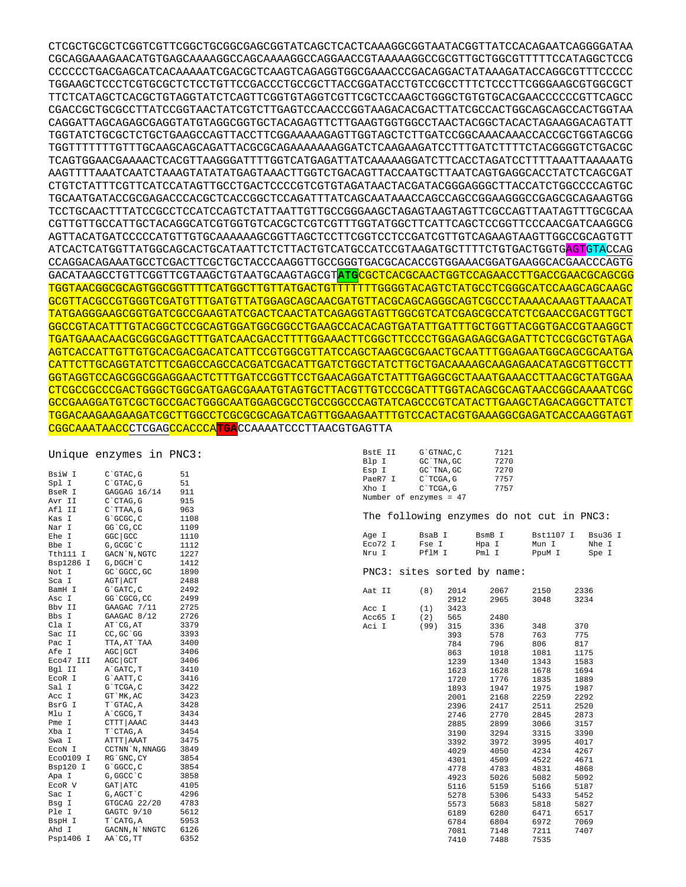## Unique enzymes in PNC3:

| BsiW I          | C`GTAC, G       | 51   |
|-----------------|-----------------|------|
| Spl I           | C`GTAC, G       | 51   |
| BseR I          | GAGGAG 16/14    | 911  |
| Avr II          | C`CTAG, G       | 915  |
| Afl II          | C`TTAA, G       | 963  |
| Kas I           | G`GCGC, C       | 1108 |
| Nar I           | GG`CG, CC       | 1109 |
| Ehe I           | GGC   GCC       | 1110 |
| Bbe I           | G, GCGC `C      | 1112 |
| Tth111 I        | GACN `N, NGTC   | 1227 |
| Bsp1286 I       | G, DGCH `C      | 1412 |
| Not I           | GC `GGCC, GC    | 1890 |
| Sca I           | $AGT$ $ $ $ACT$ | 2488 |
| BamH I          | G`GATC, C       | 2492 |
| Asc I           | GG`CGCG, CC     | 2499 |
|                 | GAAGAC 7/11     | 2725 |
| Bbv II<br>Bbs I | GAAGAC 8/12     | 2726 |
| Cla I           | AT CG, AT       | 3379 |
| Sac II          | CC, GC GG       | 3393 |
| Pac I           | TTA, AT`TAA     | 3400 |
| Afe I           | $AGC$ $GCT$     | 3406 |
| Eco47 III       | AGC GCT         | 3406 |
| Bql II          | A GATC, T       | 3410 |
| EcoR I          | G`AATT, C       | 3416 |
| Sal I           | G`TCGA, C       | 3422 |
| Acc I           | GT `MK, AC      | 3423 |
| BsrG I          | T`GTAC, A       | 3428 |
| Mlu I           | A`CGCG, T       | 3434 |
| Pme I           | CTTT AAAC       | 3443 |
| Xba I           | T`CTAG, A       | 3454 |
| Swa I           | ATTT AAAT       | 3475 |
| ECON I          | CCTNN `N, NNAGG | 3849 |
| Eco0109 I       | RG`GNC, CY      | 3854 |
| Bsp120 I        | G`GGCC, C       | 3854 |
| Apa I           | G, GGCC `C      | 3858 |
| ECOR V          | GAT   ATC       | 4105 |
| Sac I           | G, AGCT `C      | 4296 |
| Bsg I           | GTGCAG 22/20    | 4783 |
| Ple I           | GAGTC 9/10      | 5612 |
| BspH I          | T CATG, A       | 5953 |
| Ahd I           | GACNN, N`NNGTC  | 6126 |
| Psp1406<br>Ι    | AA`CG, TT       | 6352 |
|                 |                 |      |

| BstE II | G`GTNAC.C              | 7121 |
|---------|------------------------|------|
| Blp I   | GC `TNA, GC            | 7270 |
| Esp I   | GC `TNA, GC            | 7270 |
| PaeR7 I | C`TCGA.G               | 7757 |
| Xho I   | C`TCGA.G               | 7757 |
|         | Number of enzymes = 47 |      |
|         |                        |      |

The following enzymes do not cut in PNC3:

| Aqe I   | BsaB I | BsmB I | Bst1107 T | Bsu36 T |
|---------|--------|--------|-----------|---------|
| Eco72 I | Fse I  | Hpa I  | Mun T     | Nhe T   |
| Nru T   | PflM T | Pml T  | PpuM I    | Spe I   |

## PNC3: sites sorted by name:

| Aat II  | (8)  | 2014 | 2067 | 2150 | 2336 |
|---------|------|------|------|------|------|
|         |      | 2912 | 2965 | 3048 | 3234 |
| Acc I   | (1)  | 3423 |      |      |      |
| Acc65 I | (2)  | 565  | 2480 |      |      |
| Aci I   | (99) | 315  | 336  | 348  | 370  |
|         |      | 393  | 578  | 763  | 775  |
|         |      | 784  | 796  | 806  | 817  |
|         |      | 863  | 1018 | 1081 | 1175 |
|         |      | 1239 | 1340 | 1343 | 1583 |
|         |      | 1623 | 1628 | 1678 | 1694 |
|         |      | 1720 | 1776 | 1835 | 1889 |
|         |      | 1893 | 1947 | 1975 | 1987 |
|         |      | 2001 | 2168 | 2259 | 2292 |
|         |      | 2396 | 2417 | 2511 | 2520 |
|         |      | 2746 | 2770 | 2845 | 2873 |
|         |      | 2885 | 2899 | 3066 | 3157 |
|         |      | 3190 | 3294 | 3315 | 3390 |
|         |      | 3392 | 3972 | 3995 | 4017 |
|         |      | 4029 | 4050 | 4234 | 4267 |
|         |      | 4301 | 4509 | 4522 | 4671 |
|         |      | 4778 | 4783 | 4831 | 4868 |
|         |      | 4923 | 5026 | 5082 | 5092 |
|         |      | 5116 | 5159 | 5166 | 5187 |
|         |      | 5278 | 5306 | 5433 | 5452 |
|         |      | 5573 | 5683 | 5818 | 5827 |
|         |      | 6189 | 6280 | 6471 | 6517 |
|         |      | 6784 | 6804 | 6972 | 7069 |
|         |      | 7081 | 7148 | 7211 | 7407 |
|         |      | 7410 | 7488 | 7535 |      |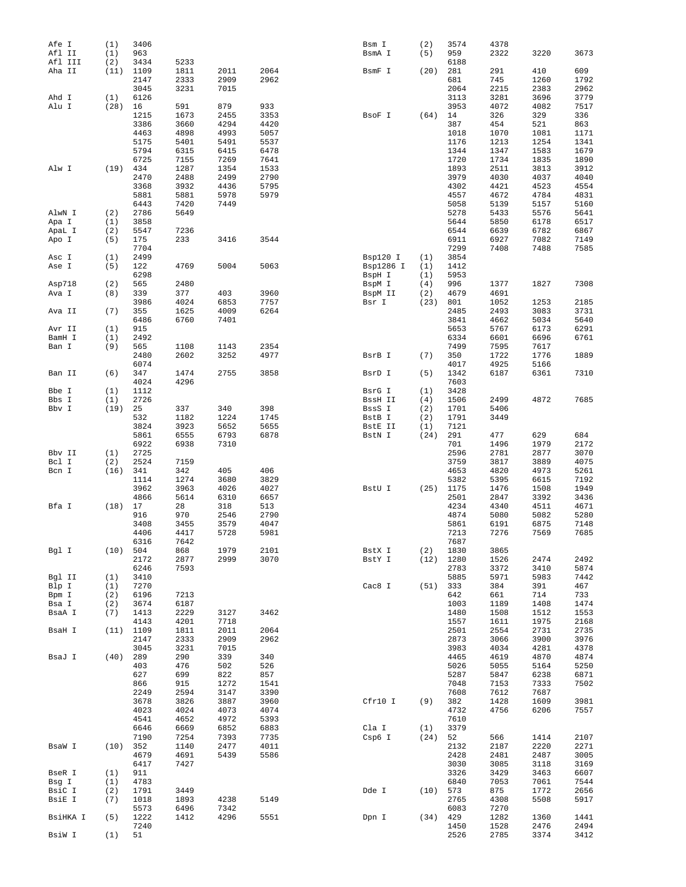| Afe I    | (1)        | 3406         |              |              |      | Bsm I     | (2)  | 3574         | 4378         |              |              |
|----------|------------|--------------|--------------|--------------|------|-----------|------|--------------|--------------|--------------|--------------|
| Afl II   | (1)        | 963          |              |              |      | BsmA I    | (5)  | 959          | 2322         | 3220         | 3673         |
| Afl III  | (2)        | 3434         | 5233         |              |      |           |      | 6188         |              |              |              |
| Aha II   | (11)       | 1109         | 1811         | 2011         | 2064 | BsmF I    | (20) | 281          | 291          | 410          | 609          |
|          |            | 2147         | 2333         | 2909         | 2962 |           |      | 681          | 745          | 1260         | 1792         |
|          |            | 3045         | 3231         | 7015         |      |           |      | 2064         | 2215         | 2383         | 2962         |
| Ahd I    | (1)        | 6126         |              |              |      |           |      | 3113         | 3281         | 3696         | 3779         |
| Alu I    | (28)       | 16           | 591          | 879          | 933  |           |      | 3953         | 4072         | 4082         | 7517         |
|          |            | 1215         | 1673         | 2455         | 3353 | BsoF I    | (64) | 14           | 326          | 329          | 336          |
|          |            | 3386         | 3660         | 4294         | 4420 |           |      | 387          | 454          | 521          | 863          |
|          |            | 4463         | 4898         | 4993         | 5057 |           |      | 1018         | 1070         | 1081         | 1171         |
|          |            | 5175         | 5401         | 5491         | 5537 |           |      | 1176         | 1213         | 1254         | 1341         |
|          |            |              |              |              |      |           |      |              |              |              |              |
|          |            | 5794         | 6315         | 6415         | 6478 |           |      | 1344         | 1347         | 1583         | 1679         |
|          |            | 6725         | 7155         | 7269         | 7641 |           |      | 1720         | 1734         | 1835         | 1890         |
| Alw I    | (19)       | 434          | 1287         | 1354         | 1533 |           |      | 1893         | 2511         | 3813         | 3912         |
|          |            | 2470         | 2488         | 2499         | 2790 |           |      | 3979         | 4030         | 4037         | 4040         |
|          |            | 3368         | 3932         | 4436         | 5795 |           |      | 4302         | 4421         | 4523         | 4554         |
|          |            | 5881         | 5881         | 5978         | 5979 |           |      | 4557         | 4672         | 4784         | 4831         |
|          |            | 6443         | 7420         | 7449         |      |           |      | 5058         | 5139         | 5157         | 5160         |
| AlwN I   | (2)        | 2786         | 5649         |              |      |           |      | 5278         | 5433         | 5576         | 5641         |
| Apa I    | (1)        | 3858         |              |              |      |           |      | 5644         | 5850         | 6178         | 6517         |
| ApaL I   | (2)        | 5547         | 7236         |              |      |           |      | 6544         | 6639         | 6782         | 6867         |
| Apo I    | (5)        | 175          | 233          | 3416         | 3544 |           |      | 6911         | 6927         | 7082         | 7149         |
|          |            | 7704         |              |              |      |           |      | 7299         | 7408         | 7488         | 7585         |
| Asc I    | (1)        | 2499         |              |              |      | Bsp120 I  | (1)  | 3854         |              |              |              |
|          |            |              |              |              |      |           |      |              |              |              |              |
| Ase I    | (5)        | 122          | 4769         | 5004         | 5063 | Bsp1286 I | (1)  | 1412         |              |              |              |
|          |            | 6298         |              |              |      | BspH I    | (1)  | 5953         |              |              |              |
| Asp718   | (2)        | 565          | 2480         |              |      | BspM I    | (4)  | 996          | 1377         | 1827         | 7308         |
| Ava I    | (8)        | 339          | 377          | 403          | 3960 | BspM II   | (2)  | 4679         | 4691         |              |              |
|          |            | 3986         | 4024         | 6853         | 7757 | Bsr I     | (23) | 801          | 1052         | 1253         | 2185         |
| Ava II   | (7)        | 355          | 1625         | 4009         | 6264 |           |      | 2485         | 2493         | 3083         | 3731         |
|          |            | 6486         | 6760         | 7401         |      |           |      | 3841         | 4662         | 5034         | 5640         |
| Avr II   | (1)        | 915          |              |              |      |           |      | 5653         | 5767         | 6173         | 6291         |
| BamH I   | (1)        | 2492         |              |              |      |           |      | 6334         | 6601         | 6696         | 6761         |
| Ban I    | (9)        | 565          | 1108         | 1143         | 2354 |           |      | 7499         | 7595         | 7617         |              |
|          |            | 2480         | 2602         | 3252         | 4977 | BsrB I    | (7)  | 350          | 1722         | 1776         | 1889         |
|          |            | 6074         |              |              |      |           |      | 4017         | 4925         | 5166         |              |
|          |            |              |              |              |      |           |      |              |              |              |              |
| Ban II   | (6)        | 347          | 1474         | 2755         | 3858 | BsrD I    | (5)  | 1342         | 6187         | 6361         | 7310         |
|          |            | 4024         | 4296         |              |      |           |      | 7603         |              |              |              |
| Bbe I    | (1)        | 1112         |              |              |      | BsrG I    | (1)  | 3428         |              |              |              |
| Bbs I    | (1)        | 2726         |              |              |      | BssH II   | (4)  | 1506         | 2499         | 4872         | 7685         |
| Bbv I    | (19)       | 25           | 337          | 340          | 398  | BssS I    | (2)  | 1701         | 5406         |              |              |
|          |            | 532          | 1182         | 1224         | 1745 | BstB I    | (2)  | 1791         | 3449         |              |              |
|          |            | 3824         | 3923         | 5652         | 5655 | BstE II   | (1)  | 7121         |              |              |              |
|          |            | 5861         | 6555         | 6793         | 6878 | BstN I    | (24) | 291          | 477          | 629          | 684          |
|          |            | 6922         | 6938         | 7310         |      |           |      | 701          | 1496         | 1979         | 2172         |
| Bbv II   | (1)        | 2725         |              |              |      |           |      | 2596         | 2781         | 2877         | 3070         |
| Bcl I    | (2)        | 2524         | 7159         |              |      |           |      | 3759         | 3817         | 3889         | 4075         |
| Bcn I    | (16)       | 341          | 342          | 405          | 406  |           |      | 4653         | 4820         | 4973         | 5261         |
|          |            |              |              |              |      |           |      |              |              |              | 7192         |
|          |            | 1114         | 1274         | 3680         | 3829 |           |      | 5382         | 5395         | 6615         |              |
|          |            | 3962         | 3963         | 4026         | 4027 | BstU I    | (25) | 1175         | 1476         | 1508         | 1949         |
|          |            | 4866         | 5614         | 6310         | 6657 |           |      | 2501         | 2847         | 3392         | 3436         |
| Bfa I    | (18)       | 17           | 28           | 318          | 513  |           |      | 4234         | 4340         | 4511         | 4671         |
|          |            | 916          | 970          | 2546         | 2790 |           |      | 4874         | 5080         | 5082         | 5280         |
|          |            | 3408         | 3455         | 3579         | 4047 |           |      | 5861         | 6191         | 6875         | 7148         |
|          |            | 4406         | 4417         | 5728         | 5981 |           |      | 7213         | 7276         | 7569         | 7685         |
|          |            | 6316         | 7642         |              |      |           |      | 7687         |              |              |              |
| Bgl I    | $(10)$ 504 |              | 868          | 1979         | 2101 | BstX I    | (2)  | 1830         | 3865         |              |              |
|          |            | 2172         | 2877         | 2999         | 3070 | BstY I    |      | $(12)$ 1280  | 1526         | 2474         | 2492         |
|          |            | 6246         | 7593         |              |      |           |      | 2783         | 3372         | 3410         | 5874         |
| Bgl II   | (1)        | 3410         |              |              |      |           |      | 5885         | 5971         | 5983         | 7442         |
| Blp I    | (1)        | 7270         |              |              |      | Cac8 I    | (51) | 333          | 384          | 391          | 467          |
| Bpm I    | (2)        | 6196         | 7213         |              |      |           |      | 642          | 661          | 714          | 733          |
| Bsa I    | (2)        | 3674         | 6187         |              |      |           |      | 1003         | 1189         | 1408         | 1474         |
| BsaA I   | (7)        | 1413         | 2229         | 3127         | 3462 |           |      | 1480         | 1508         | 1512         | 1553         |
|          |            | 4143         | 4201         | 7718         |      |           |      | 1557         | 1611         | 1975         | 2168         |
| BsaH I   | (11)       | 1109         | 1811         | 2011         | 2064 |           |      | 2501         | 2554         | 2731         | 2735         |
|          |            |              |              |              |      |           |      |              |              |              |              |
|          |            | 2147<br>3045 | 2333<br>3231 | 2909<br>7015 | 2962 |           |      | 2873<br>3983 | 3066<br>4034 | 3900<br>4281 | 3976<br>4378 |
|          |            |              |              |              |      |           |      |              |              |              |              |
| BsaJ I   | (40)       | 289          | 290          | 339          | 340  |           |      | 4465         | 4619         | 4870         | 4874         |
|          |            | 403          | 476          | 502          | 526  |           |      | 5026         | 5055         | 5164         | 5250         |
|          |            | 627          | 699          | 822          | 857  |           |      | 5287         | 5847         | 6238         | 6871         |
|          |            | 866          | 915          | 1272         | 1541 |           |      | 7048         | 7153         | 7333         | 7502         |
|          |            | 2249         | 2594         | 3147         | 3390 |           |      | 7608         | 7612         | 7687         |              |
|          |            | 3678         | 3826         | 3887         | 3960 | Cfr10 I   | (9)  | 382          | 1428         | 1609         | 3981         |
|          |            | 4023         | 4024         | 4073         | 4074 |           |      | 4732         | 4756         | 6206         | 7557         |
|          |            | 4541         | 4652         | 4972         | 5393 |           |      | 7610         |              |              |              |
|          |            | 6646         | 6669         | 6852         | 6883 | Cla I     | (1)  | 3379         |              |              |              |
|          |            | 7190         | 7254         | 7393         | 7735 | Csp6 I    | (24) | 52           | 566          | 1414         | 2107         |
| BsaW I   | (10)       | 352          | 1140         | 2477         | 4011 |           |      | 2132         | 2187         | 2220         | 2271         |
|          |            | 4679         | 4691         | 5439         | 5586 |           |      | 2428         | 2481         | 2487         | 3005         |
|          |            | 6417         | 7427         |              |      |           |      | 3030         | 3085         | 3118         | 3169         |
|          |            |              |              |              |      |           |      |              |              |              |              |
| BseR I   | (1)        | 911          |              |              |      |           |      | 3326         | 3429         | 3463         | 6607         |
| Bsg I    | (1)        | 4783         |              |              |      |           |      | 6840         | 7053         | 7061         | 7544         |
| BsiC I   | (2)        | 1791         | 3449         |              |      | Dde I     | (10) | 573          | 875          | 1772         | 2656         |
| BsiE I   | (7)        | 1018         | 1893         | 4238         | 5149 |           |      | 2765         | 4308         | 5508         | 5917         |
|          |            | 5573         | 6496         | 7342         |      |           |      | 6083         | 7270         |              |              |
| BsiHKA I | (5)        | 1222         | 1412         | 4296         | 5551 | Dpn I     | (34) | 429          | 1282         | 1360         | 1441         |
|          |            | 7240         |              |              |      |           |      | 1450         | 1528         | 2476         | 2494         |
| BsiW I   | (1)        | 51           |              |              |      |           |      | 2526         | 2785         | 3374         | 3412         |
|          |            |              |              |              |      |           |      |              |              |              |              |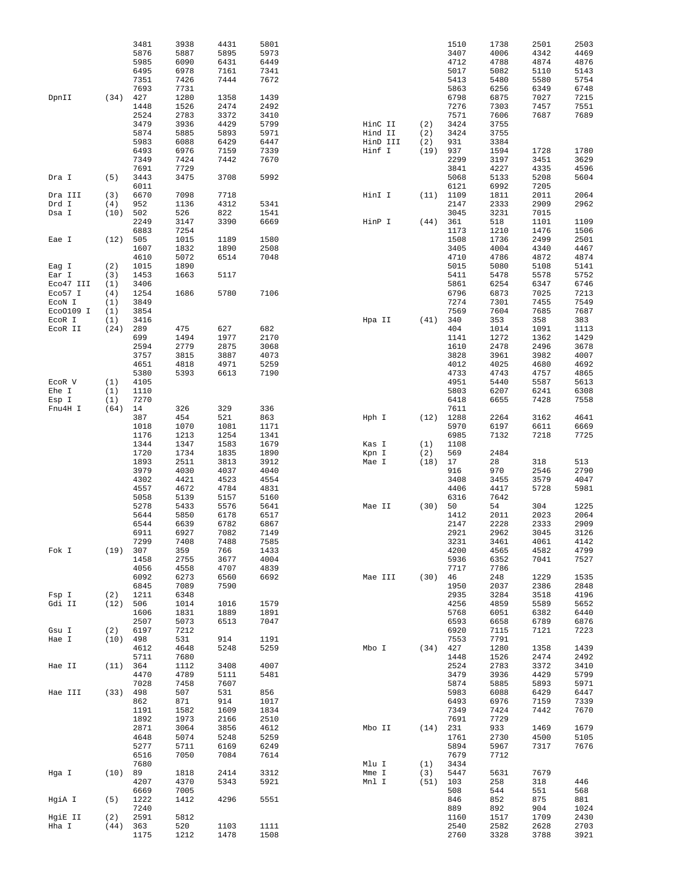|           |            | 3481         | 3938         | 4431 | 5801         |          |            | 1510         | 1738         | 2501         | 2503         |
|-----------|------------|--------------|--------------|------|--------------|----------|------------|--------------|--------------|--------------|--------------|
|           |            | 5876         | 5887         | 5895 | 5973         |          |            | 3407         | 4006         | 4342         | 4469         |
|           |            | 5985         | 6090         | 6431 | 6449         |          |            | 4712         | 4788         | 4874         | 4876         |
|           |            | 6495         | 6978         | 7161 | 7341         |          |            | 5017         | 5082         | 5110         | 5143         |
|           |            | 7351         | 7426         | 7444 | 7672         |          |            | 5413         | 5480         | 5580         | 5754         |
|           |            | 7693         | 7731         |      |              |          |            | 5863         | 6256         | 6349         | 6748         |
| DpnII     | (34)       | 427          | 1280         | 1358 | 1439         |          |            | 6798         | 6875         | 7027         | 7215         |
|           |            | 1448         | 1526         | 2474 | 2492         |          |            | 7276         | 7303         | 7457         | 7551         |
|           |            | 2524         | 2783         | 3372 | 3410         |          |            | 7571         | 7606         | 7687         | 7689         |
|           |            | 3479         | 3936         | 4429 | 5799         | HinC II  | (2)        | 3424         | 3755         |              |              |
|           |            | 5874         | 5885         | 5893 | 5971         | Hind II  | (2)        | 3424         | 3755         |              |              |
|           |            | 5983         | 6088         | 6429 | 6447         | HinD III | (2)        | 931          | 3384         |              |              |
|           |            | 6493         | 6976         | 7159 | 7339         | Hinf I   | (19)       | 937          | 1594         | 1728         | 1780         |
|           |            | 7349         | 7424<br>7729 | 7442 | 7670         |          |            | 2299<br>3841 | 3197         | 3451         | 3629         |
|           |            | 7691<br>3443 | 3475         | 3708 | 5992         |          |            | 5068         | 4227<br>5133 | 4335<br>5208 | 4596<br>5604 |
| Dra I     | (5)        | 6011         |              |      |              |          |            | 6121         | 6992         | 7205         |              |
| Dra III   | (3)        | 6670         | 7098         | 7718 |              | HinI I   | (11)       | 1109         | 1811         | 2011         | 2064         |
| Drd I     | (4)        | 952          | 1136         | 4312 | 5341         |          |            | 2147         | 2333         | 2909         | 2962         |
| Dsa I     | (10)       | 502          | 526          | 822  | 1541         |          |            | 3045         | 3231         | 7015         |              |
|           |            | 2249         | 3147         | 3390 | 6669         | HinP I   | (44)       | 361          | 518          | 1101         | 1109         |
|           |            | 6883         | 7254         |      |              |          |            | 1173         | 1210         | 1476         | 1506         |
| Eae I     | (12)       | 505          | 1015         | 1189 | 1580         |          |            | 1508         | 1736         | 2499         | 2501         |
|           |            | 1607         | 1832         | 1890 | 2508         |          |            | 3405         | 4004         | 4340         | 4467         |
|           |            | 4610         | 5072         | 6514 | 7048         |          |            | 4710         | 4786         | 4872         | 4874         |
| Eag I     | (2)        | 1015         | 1890         |      |              |          |            | 5015         | 5080         | 5108         | 5141         |
| Ear I     | (3)        | 1453         | 1663         | 5117 |              |          |            | 5411         | 5478         | 5578         | 5752         |
| Eco47 III | (1)        | 3406         |              |      |              |          |            | 5861         | 6254         | 6347         | 6746         |
| Eco57 I   | (4)        | 1254         | 1686         | 5780 | 7106         |          |            | 6796         | 6873         | 7025         | 7213         |
| ECON I    | (1)        | 3849         |              |      |              |          |            | 7274         | 7301         | 7455         | 7549         |
| Eco0109 I | (1)        | 3854         |              |      |              |          |            | 7569         | 7604         | 7685         | 7687         |
| ECOR I    | (1)        | 3416         |              |      |              | Hpa II   | (41)       | 340          | 353          | 358          | 383          |
| ECOR II   | (24)       | 289          | 475          | 627  | 682          |          |            | 404          | 1014         | 1091         | 1113         |
|           |            | 699          | 1494         | 1977 | 2170         |          |            | 1141         | 1272         | 1362         | 1429         |
|           |            | 2594         | 2779         | 2875 | 3068         |          |            | 1610         | 2478         | 2496         | 3678         |
|           |            | 3757         | 3815         | 3887 | 4073         |          |            | 3828         | 3961         | 3982         | 4007         |
|           |            | 4651         | 4818         | 4971 | 5259         |          |            | 4012         | 4025         | 4680         | 4692         |
|           |            | 5380         | 5393         | 6613 | 7190         |          |            | 4733         | 4743         | 4757         | 4865         |
| ECOR V    | (1)        | 4105         |              |      |              |          |            | 4951         | 5440         | 5587         | 5613         |
| Ehe I     | (1)        | 1110         |              |      |              |          |            | 5803         | 6207         | 6241         | 6308         |
| Esp I     | (1)        | 7270         |              |      |              |          |            | 6418         | 6655         | 7428         | 7558         |
| Fnu4H I   | (64)       | 14           | 326          | 329  | 336          |          |            | 7611         |              |              |              |
|           |            | 387          | 454          | 521  | 863          | Hph I    | (12)       | 1288         | 2264         | 3162         | 4641         |
|           |            | 1018         | 1070         | 1081 | 1171         |          |            | 5970         | 6197         | 6611         | 6669         |
|           |            | 1176         | 1213         | 1254 | 1341         |          |            | 6985         | 7132         | 7218         | 7725         |
|           |            | 1344         | 1347         | 1583 | 1679         | Kas I    | (1)        | 1108         |              |              |              |
|           |            | 1720         | 1734         | 1835 | 1890         | Kpn I    | (2)        | 569          | 2484         |              |              |
|           |            | 1893         | 2511         | 3813 | 3912         | Mae I    | (18)       | 17           | 28           | 318          | 513          |
|           |            | 3979         | 4030         | 4037 | 4040         |          |            | 916          | 970          | 2546         | 2790         |
|           |            | 4302         | 4421         | 4523 | 4554         |          |            | 3408         | 3455         | 3579         | 4047         |
|           |            | 4557         | 4672         | 4784 | 4831         |          |            | 4406         | 4417         | 5728         | 5981         |
|           |            | 5058         | 5139         | 5157 | 5160         |          |            | 6316         | 7642         |              |              |
|           |            | 5278         | 5433         | 5576 | 5641         | Mae II   | (30)       | 50           | 54           | 304          | 1225         |
|           |            | 5644         | 5850         | 6178 | 6517         |          |            | 1412         | 2011         | 2023         | 2064         |
|           |            | 6544         | 6639         | 6782 | 6867         |          |            | 2147         | 2228         | 2333         | 2909         |
|           |            | 6911         | 6927         | 7082 | 7149         |          |            | 2921         | 2962         | 3045         | 3126         |
|           |            | 7299         | 7408         | 7488 | 7585         |          |            | 3231         | 3461         | 4061         | 4142         |
| Fok I     | (19) 307   |              | 359          | 766  | 1433         |          |            | 4200         | 4565         | 4582         | 4799         |
|           |            | 1458         | 2755         | 3677 | 4004         |          |            | 5936         | 6352         | 7041         | 7527         |
|           |            | 4056         | 4558         | 4707 | 4839         |          |            | 7717         | 7786         |              |              |
|           |            | 6092         | 6273         | 6560 | 6692         | Mae III  | (30)       | 46           | 248          | 1229         | 1535         |
|           |            | 6845         | 7089         | 7590 |              |          |            | 1950         | 2037         | 2386         | 2848         |
| Fsp I     | (2)        | 1211         | 6348         |      |              |          |            | 2935         | 3284         | 3518         | 4196         |
| Gdi II    | (12)       | 506          | 1014         | 1016 | 1579         |          |            | 4256         | 4859         | 5589         | 5652         |
|           |            | 1606         | 1831         | 1889 | 1891         |          |            | 5768         | 6051         | 6382         | 6440         |
|           |            | 2507         | 5073         | 6513 | 7047         |          |            | 6593         | 6658         | 6789         | 6876         |
| Gsu I     | (2)        | 6197         | 7212         |      |              |          |            | 6920         | 7115         | 7121         | 7223         |
| Hae I     | (10)       | 498          | 531          | 914  | 1191         |          |            | 7553         | 7791         |              |              |
|           |            | 4612         | 4648         | 5248 | 5259         | Mbo I    | $(34)$ 427 |              | 1280         | 1358         | 1439         |
|           |            | 5711         | 7680         |      |              |          |            | 1448         | 1526         | 2474         | 2492         |
| Hae II    | (11)       | 364          | 1112         | 3408 | 4007         |          |            | 2524         | 2783         | 3372         | 3410         |
|           |            | 4470         | 4789         | 5111 | 5481         |          |            | 3479         | 3936         | 4429         | 5799         |
|           |            | 7028         | 7458         | 7607 |              |          |            | 5874         | 5885         | 5893         | 5971         |
| Hae III   | (33)       | 498          | 507          | 531  | 856          |          |            | 5983         | 6088         | 6429         | 6447         |
|           |            | 862          | 871          | 914  | 1017         |          |            | 6493         | 6976         | 7159         | 7339         |
|           |            | 1191         | 1582         | 1609 | 1834         |          |            | 7349         | 7424         | 7442         | 7670         |
|           |            | 1892         | 1973         | 2166 | 2510         |          |            | 7691         | 7729         |              |              |
|           |            | 2871         | 3064         | 3856 | 4612         | Mbo II   | $(14)$ 231 |              | 933          | 1469         | 1679         |
|           |            | 4648         | 5074         | 5248 | 5259         |          |            | 1761         | 2730         | 4500         | 5105         |
|           |            | 5277         | 5711         | 6169 | 6249         |          |            | 5894         | 5967         | 7317         | 7676         |
|           |            | 6516         | 7050         | 7084 | 7614         |          |            | 7679         | 7712         |              |              |
|           |            | 7680         |              | 2414 | 3312         | Mlu I    | (1)        | 3434<br>5447 | 5631         | 7679         |              |
| Hga I     | (10)       | 89<br>4207   | 1818         |      |              | Mme I    | (3)        | 103          | 258          | 318          | 446          |
|           |            |              | 4370<br>7005 | 5343 | 5921         | Mnl I    | (51)       | 508          | 544          | 551          |              |
| HgiA I    | (5)        | 6669<br>1222 | 1412         | 4296 | 5551         |          |            | 846          | 852          | 875          | 568<br>881   |
|           |            | 7240         |              |      |              |          |            | 889          | 892          |              |              |
| HgiE II   | (2)        | 2591         | 5812         |      |              |          |            | 1160         | 1517         | 904<br>1709  | 1024<br>2430 |
|           | $(44)$ 363 |              | 520          | 1103 |              |          |            | 2540         | 2582         | 2628         | 2703         |
| Hha I     |            | 1175         |              |      | 1111<br>1508 |          |            |              |              |              |              |
|           |            |              | 1212         | 1478 |              |          |            | 2760         | 3328         | 3788         | 3921         |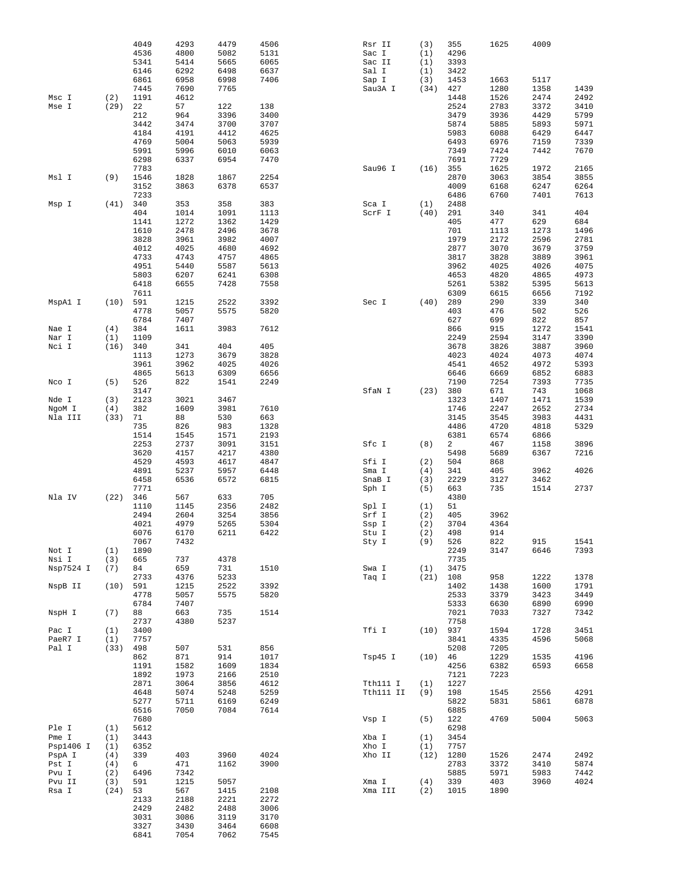|                |            | 4049<br>4536 | 4293<br>4800 | 4479<br>5082 | 4506<br>5131 | Rsr II<br>Sac I | (3)<br>(1) | 355<br>4296    | 1625         | 4009         |              |
|----------------|------------|--------------|--------------|--------------|--------------|-----------------|------------|----------------|--------------|--------------|--------------|
|                |            | 5341         | 5414         | 5665         | 6065         | Sac II          | (1)        | 3393           |              |              |              |
|                |            | 6146         | 6292         | 6498         | 6637         | Sal I           | (1)        | 3422           |              |              |              |
|                |            | 6861         | 6958         | 6998         | 7406         | Sap I           | (3)        | 1453           | 1663         | 5117         |              |
|                |            | 7445         | 7690         | 7765         |              | Sau3A I         | (34)       | 427            | 1280         | 1358         | 1439         |
| Msc I          | (2)        | 1191         | 4612         |              |              |                 |            | 1448           | 1526         | 2474         | 2492         |
| Mse I          | (29)       | 22<br>212    | 57<br>964    | 122<br>3396  | 138<br>3400  |                 |            | 2524<br>3479   | 2783<br>3936 | 3372<br>4429 | 3410<br>5799 |
|                |            | 3442         | 3474         | 3700         | 3707         |                 |            | 5874           | 5885         | 5893         | 5971         |
|                |            | 4184         | 4191         | 4412         | 4625         |                 |            | 5983           | 6088         | 6429         | 6447         |
|                |            | 4769         | 5004         | 5063         | 5939         |                 |            | 6493           | 6976         | 7159         | 7339         |
|                |            | 5991         | 5996         | 6010         | 6063         |                 |            | 7349           | 7424         | 7442         | 7670         |
|                |            | 6298         | 6337         | 6954         | 7470         |                 |            | 7691           | 7729         |              |              |
|                |            | 7783         |              |              |              | Sau96 I         | (16)       | 355            | 1625         | 1972         | 2165         |
| Msl I          | (9)        | 1546         | 1828         | 1867         | 2254         |                 |            | 2870           | 3063         | 3854         | 3855         |
|                |            | 3152         | 3863         | 6378         | 6537         |                 |            | 4009           | 6168         | 6247         | 6264         |
| Msp I          | (41)       | 7233<br>340  | 353          | 358          | 383          | Sca I           | (1)        | 6486<br>2488   | 6760         | 7401         | 7613         |
|                |            | 404          | 1014         | 1091         | 1113         | ScrF I          | (40)       | 291            | 340          | 341          | 404          |
|                |            | 1141         | 1272         | 1362         | 1429         |                 |            | 405            | 477          | 629          | 684          |
|                |            | 1610         | 2478         | 2496         | 3678         |                 |            | 701            | 1113         | 1273         | 1496         |
|                |            | 3828         | 3961         | 3982         | 4007         |                 |            | 1979           | 2172         | 2596         | 2781         |
|                |            | 4012         | 4025         | 4680         | 4692         |                 |            | 2877           | 3070         | 3679         | 3759         |
|                |            | 4733         | 4743         | 4757         | 4865         |                 |            | 3817           | 3828         | 3889         | 3961         |
|                |            | 4951         | 5440         | 5587         | 5613         |                 |            | 3962           | 4025         | 4026         | 4075         |
|                |            | 5803         | 6207         | 6241         | 6308         |                 |            | 4653           | 4820         | 4865         | 4973         |
|                |            | 6418<br>7611 | 6655         | 7428         | 7558         |                 |            | 5261<br>6309   | 5382<br>6615 | 5395<br>6656 | 5613<br>7192 |
| MspAl I        | (10)       | 591          | 1215         | 2522         | 3392         | Sec I           | (40)       | 289            | 290          | 339          | 340          |
|                |            | 4778         | 5057         | 5575         | 5820         |                 |            | 403            | 476          | 502          | 526          |
|                |            | 6784         | 7407         |              |              |                 |            | 627            | 699          | 822          | 857          |
| Nae I          | (4)        | 384          | 1611         | 3983         | 7612         |                 |            | 866            | 915          | 1272         | 1541         |
| Nar I          | (1)        | 1109         |              |              |              |                 |            | 2249           | 2594         | 3147         | 3390         |
| Nci I          | (16)       | 340          | 341          | 404          | 405          |                 |            | 3678           | 3826         | 3887         | 3960         |
|                |            | 1113         | 1273         | 3679         | 3828         |                 |            | 4023           | 4024         | 4073         | 4074         |
|                |            | 3961<br>4865 | 3962<br>5613 | 4025<br>6309 | 4026<br>6656 |                 |            | 4541<br>6646   | 4652<br>6669 | 4972<br>6852 | 5393<br>6883 |
| Nco I          | (5)        | 526          | 822          | 1541         | 2249         |                 |            | 7190           | 7254         | 7393         | 7735         |
|                |            | 3147         |              |              |              | SfaN I          | (23)       | 380            | 671          | 743          | 1068         |
| Nde I          | (3)        | 2123         | 3021         | 3467         |              |                 |            | 1323           | 1407         | 1471         | 1539         |
| NgoM I         | (4)        | 382          | 1609         | 3981         | 7610         |                 |            | 1746           | 2247         | 2652         | 2734         |
| Nla III        | (33)       | 71           | 88           | 530          | 663          |                 |            | 3145           | 3545         | 3983         | 4431         |
|                |            | 735          | 826          | 983          | 1328         |                 |            | 4486           | 4720         | 4818         | 5329         |
|                |            | 1514         | 1545         | 1571         | 2193         |                 |            | 6381           | 6574         | 6866         |              |
|                |            | 2253         | 2737         | 3091         | 3151         | Sfc I           | (8)        | $\overline{a}$ | 467          | 1158         | 3896         |
|                |            | 3620<br>4529 | 4157<br>4593 | 4217<br>4617 | 4380<br>4847 | Sfi I           | (2)        | 5498<br>504    | 5689<br>868  | 6367         | 7216         |
|                |            | 4891         | 5237         | 5957         | 6448         | Sma I           | (4)        | 341            | 405          | 3962         | 4026         |
|                |            | 6458         | 6536         | 6572         | 6815         | SnaB I          | (3)        | 2229           | 3127         | 3462         |              |
|                |            | 7771         |              |              |              | Sph I           | (5)        | 663            | 735          | 1514         | 2737         |
| Nla IV         | (22)       | 346          | 567          | 633          | 705          |                 |            | 4380           |              |              |              |
|                |            | 1110         | 1145         | 2356         | 2482         | Spl I           | (1)        | 51             |              |              |              |
|                |            | 2494         | 2604         | 3254         | 3856         | Srf I           | (2)        | 405            | 3962         |              |              |
|                |            | 4021         | 4979         | 5265         | 5304         | Ssp I           | (2)        | 3704           | 4364         |              |              |
|                |            | 6076<br>7067 | 6170<br>7432 | 6211         | 6422         | Stu I<br>Sty I  | (2)<br>(9) | 498<br>526     | 914<br>822   | 915          | 1541         |
| Not I          | (1)        | 1890         |              |              |              |                 |            | 2249           | 3147         | 6646         | 7393         |
| Nsi I          | (3)        | 665          | 737          | 4378         |              |                 |            | 7735           |              |              |              |
| Nsp7524 I      | (7)        | 84           | 659          | 731          | 1510         | Swa I           | (1)        | 3475           |              |              |              |
|                |            | 2733         | 4376         | 5233         |              | Taq I           | (21)       | 108            | 958          | 1222         | 1378         |
| NspB II        | (10)       | 591          | 1215         | 2522         | 3392         |                 |            | 1402           | 1438         | 1600         | 1791         |
|                |            | 4778         | 5057         | 5575         | 5820         |                 |            | 2533           | 3379         | 3423         | 3449         |
| NspH I         | (7)        | 6784<br>88   | 7407<br>663  | 735          | 1514         |                 |            | 5333<br>7021   | 6630<br>7033 | 6890<br>7327 | 6990<br>7342 |
|                |            | 2737         | 4380         | 5237         |              |                 |            | 7758           |              |              |              |
| Pac I          | (1)        | 3400         |              |              |              | Tfi I           | (10)       | 937            | 1594         | 1728         | 3451         |
| PaeR7 I        | (1)        | 7757         |              |              |              |                 |            | 3841           | 4335         | 4596         | 5068         |
| Pal I          | (33)       | 498          | 507          | 531          | 856          |                 |            | 5208           | 7205         |              |              |
|                |            | 862          | 871          | 914          | 1017         | Tsp45 I         | (10)       | 46             | 1229         | 1535         | 4196         |
|                |            | 1191         | 1582         | 1609         | 1834         |                 |            | 4256           | 6382         | 6593         | 6658         |
|                |            | 1892         | 1973         | 2166         | 2510         |                 |            | 7121           | 7223         |              |              |
|                |            | 2871<br>4648 | 3064         | 3856         | 4612         | Tth111 I        | (1)        | 1227           |              |              | 4291         |
|                |            | 5277         | 5074<br>5711 | 5248<br>6169 | 5259<br>6249 | Tth111 II       | (9)        | 198<br>5822    | 1545<br>5831 | 2556<br>5861 | 6878         |
|                |            | 6516         | 7050         | 7084         | 7614         |                 |            | 6885           |              |              |              |
|                |            | 7680         |              |              |              | Vsp I           | (5)        | 122            | 4769         | 5004         | 5063         |
| Ple I          | (1)        | 5612         |              |              |              |                 |            | 6298           |              |              |              |
| Pme I          | (1)        | 3443         |              |              |              | Xba I           | (1)        | 3454           |              |              |              |
| Psp1406 I      | (1)        | 6352         |              |              |              | Xho I           | (1)        | 7757           |              |              |              |
| PspA I         | (4)        | 339          | 403          | 3960         | 4024         | Xho II          | (12)       | 1280           | 1526         | 2474         | 2492         |
| Pst I<br>Pvu I | (4)<br>(2) | 6<br>6496    | 471<br>7342  | 1162         | 3900         |                 |            | 2783<br>5885   | 3372<br>5971 | 3410<br>5983 | 5874<br>7442 |
| Pvu II         | (3)        | 591          | 1215         | 5057         |              | Xma I           | (4)        | 339            | 403          | 3960         | 4024         |
| Rsa I          | (24)       | 53           | 567          | 1415         | 2108         | Xma III         | (2)        | 1015           | 1890         |              |              |
|                |            | 2133         | 2188         | 2221         | 2272         |                 |            |                |              |              |              |
|                |            | 2429         | 2482         | 2488         | 3006         |                 |            |                |              |              |              |
|                |            | 3031         | 3086         | 3119         | 3170         |                 |            |                |              |              |              |
|                |            | 3327         | 3430         | 3464         | 6608         |                 |            |                |              |              |              |
|                |            | 6841         | 7054         | 7062         | 7545         |                 |            |                |              |              |              |